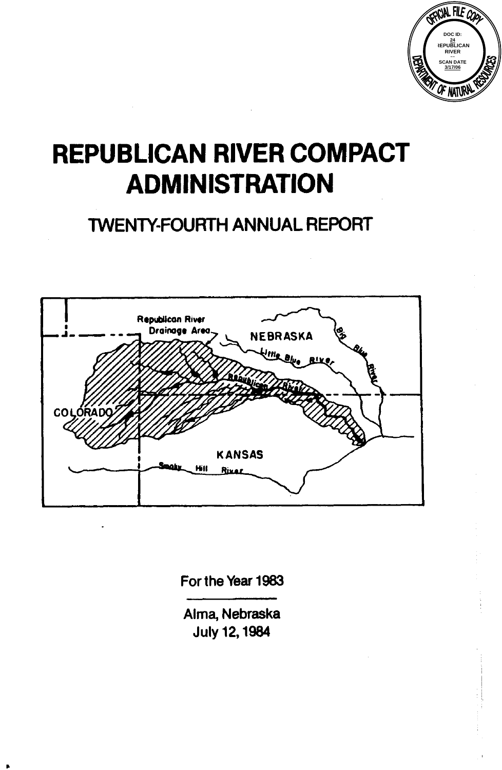

# **REPUBLICAN RIVER COMPACT ADMINISTRATION**

# TWENTY-FOURTH ANNUAL REPORT



**For the Year 1983** 

**Alma, Nebraska July 12,1984**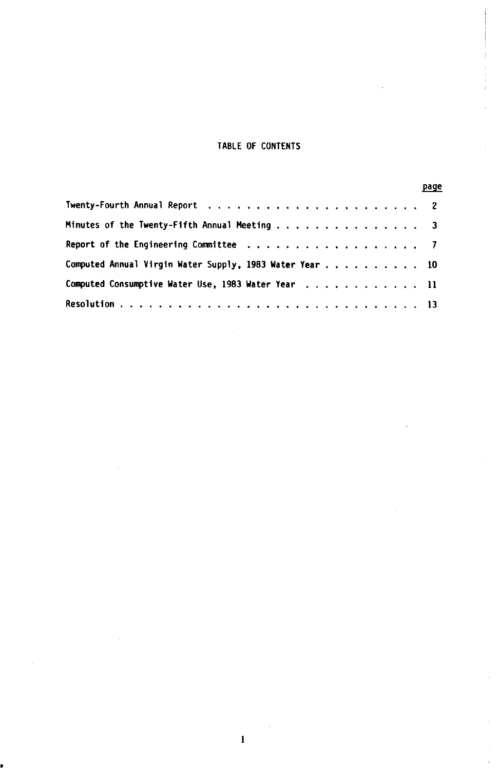#### **TABLE OF CONTENTS**

|                                                          | page |
|----------------------------------------------------------|------|
|                                                          |      |
| Minutes of the Twenty-Fifth Annual Meeting 3             |      |
|                                                          |      |
| Computed Annual Virgin Water Supply, 1983 Water Year  10 |      |
| Computed Consumptive Water Use, 1983 Water Year  11      |      |
|                                                          |      |

ł.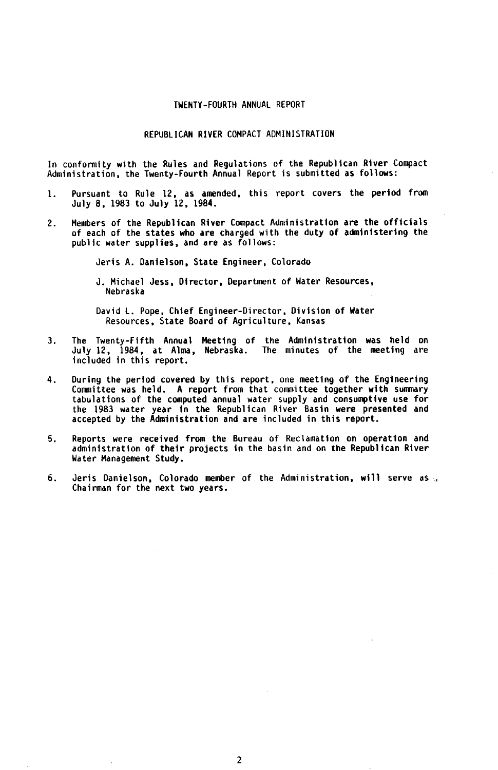#### TWENTY-FOURTH ANNUAL REPORT

#### REPUBLICAN RIVER COMPACT ADMINISTRATION

In conformity with the Rules and Regulations of the Republican River Compact Administration, the Twenty-Fourth Annual Report is submitted as follows:

- 1. Pursuant to Rule 12, as amended. this report covers the period from July **8.** 1983 to July 12. 1984.
- 2. Members of the Republican River Compact Administration are the officials of each of the states who are charged with the duty of administering the public water supplies, and are as follows:

Jeris A. Danielson, State Engineer, Colorado

**J.** Michael Jess, Director, Department of Water Resources, Nebraska

David L. Pope, Chief Engineer-Director, Division of Water Resources, State Board of Agriculture, Kansas

- 3. The Twenty-Fifth Annual Meeting of the Administration was held on July 12, 1984, at Alma, Nebraska. The minutes of the meeting are included in this report.
- During the period covered by this report, one meeting of the Engineering Committee was held. A report from that committee together with summary tabulations of the computed annual water supply and consumptive use for the 1983 water year in the Republican River Basin were presented and accepted by the Administration and are included in this report. **4.**
- 5. Reports were received from the Bureau of Reclamation on operation and administration of their projects in the basin and on the Republican River Water Management Study.
- Chairman for the next two years. 6. Jeris Danielson, Colorado member of the Administration, will serve as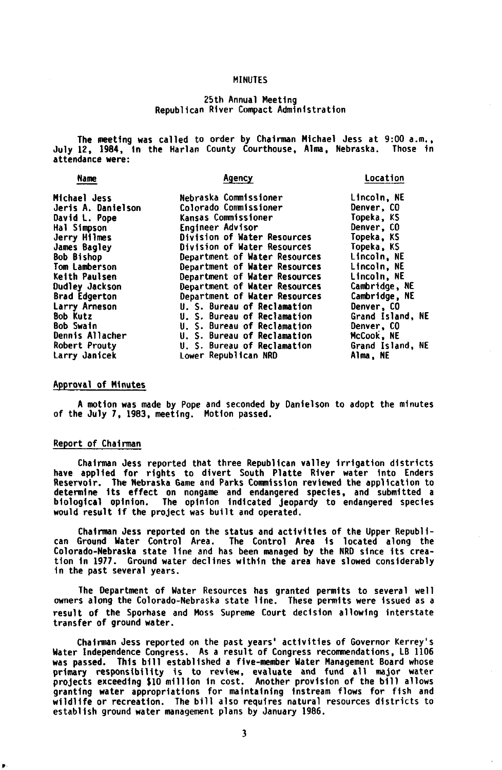#### MINUTES

#### 25th Annual Meeting Republican River Compact Administration

<span id="page-3-0"></span>The meeting was called to order by Chairman Michael Jess at 9:00 a.m.. July **12, 1984,** In the Harlan County Courthouse, Alma. Nebraska. Those in attendance were:

| Name                  | Agency                        | Location          |
|-----------------------|-------------------------------|-------------------|
| Michael Jess          | Nebraska Commissioner         | Lincoln, NE       |
| Jeris A. Danielson    | Colorado Commissioner         | Denver, CO        |
| David L. Pope         | Kansas Commissioner           | Topeka, KS        |
| Hal Simpson           | <b>Engineer Advisor</b>       | <b>Denver, CO</b> |
| Jerry Hilmes          | Division of Water Resources   | Topeka. KS        |
| James Bagley          | Division of Water Resources   | Topeka. KS        |
| <b>Bob Bishop</b>     | Department of Water Resources | Lincoln, NE       |
| Tom Lamberson         | Department of Water Resources | Lincoln, NE       |
| Keith Paulsen         | Department of Water Resources | Lincoln, NE       |
| <b>Dudley Jackson</b> | Department of Water Resources | Cambridge, NE     |
| <b>Brad Edgerton</b>  | Department of Water Resources | Cambridge, NE     |
| Larry Arneson         | U. S. Bureau of Reclamation   | Denver, CO        |
| <b>Bob Kutz</b>       | U. S. Bureau of Reclamation   | Grand Island, NE  |
| <b>Bob Swain</b>      | U. S. Bureau of Reclamation   | Denver. CO        |
| Dennis Allacher       | U. S. Bureau of Reclamation   | McCook, NE        |
| Robert Prouty         | U. S. Bureau of Reclamation   | Grand Island, NE  |
| Larry Janicek         | Lower Republican NRD          | Alma, NE          |

#### Approval of Minutes

of the July **7,** 1983, meeting. Motion passed. A motion was made by Pope and seconded by Danielson to adopt the minutes

#### Report of Chairman

Chairman Jess reported that three Republican valley irrigation districts have applied for rights to divert South Platte River water into Enders Reservoir. The Nebraska Game and Parks Commission reviewed the application to determine its effect on nongame and endangered species, and submitted a biological opinion. The opinion indicated jeopardy to endangered species would result if the project was built and operated.

Chairman Jess reported on the status and activities of the Upper Republi- can Ground Water Control Area. The Control Area is located along the Colorado-Nebraska state line and has been managed by the NRD since its creation in **1977.** Ground water declines within the area have slowed considerably in the past several years.

The Department of Water Resources has granted permits to several well Owners along the Colorado-Nebraska state line. These permits were issued as a result of the Sporhase and Moss Supreme Court decision allowing interstate transfer of ground water.

Chairman Jess reported on the past years' activities of Governor Kerrey's Water Independence Congress. As a result of Congress recommendations, LB 1106 was passed. This bill established a five-member Water Management Board whose primary responsibility is to review, evaluate and fund all major water projects exceeding **\$10** million in cost. Another provision of the bill allows granting water appropriations for maintaining instream flows for fish and wildlife or recreation. The bill **also** requires natural resources districts to establish ground water management plans by January 1986.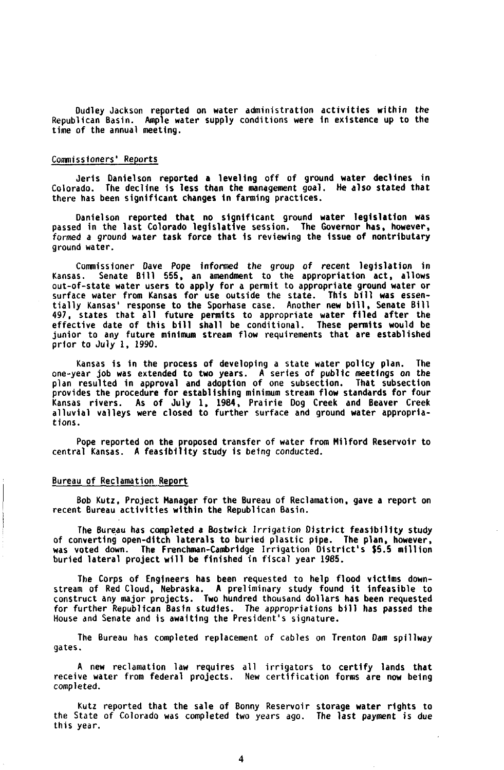Dudley Jackson reported on water administration activities within the Republican Basin. Ample water supply conditions were in existence up to the time of the annual meeting.

#### Commissioners' **Commissioners'** Commissioners' Reports

Colorado. The decline is less than the management goal. **He** also stated that there has been significant changes in farming practices. Jeris Danielson reported a leveling off of ground water declines in

Danielson reported that no significant ground water legislation was passed in the last Colorado legislative session. The Governor has. however, formed a ground water task force that is reviewing the issue of nontributary ground water.

Commissioner Dave Pope informed the group of recent legislation in Kansas. Senate Bill **555,** an amendment to the appropriation act, allows out-of-state water users to apply for a permit to appropriate ground water or surface water from Kansas for use outside the state. This bill was essen-tially Kansas' response to the Sporhase case. Another new bill, Senate Bill 497, states that all future permits to appropriate water filed after the effective date of this bill shall be conditional. These permits would be junior to any future minimum stream flow requirements that are established prior to July 1. 1990.

Kansas is in the process of developing a state water policy plan. The one-year job was extended to two years. A series of public meetings on the plan resulted in approval and adoption of one subsection. That subsection provides the procedure for establishing minimum stream flow standards for four .<br>Kansas rivers. As of July 1, 1984, Prairie Dog Creek and Beaver Creek<br>alluvial valleys were closed to further surface and ground water appropriations.

Pope reported on the proposed transfer of water from Milford Reservoir to central Kansas. A feasibility study is being conducted.

#### Bureau of Reclamation Report

Bob Kutz, Project Manager for the Bureau of Reclamation, gave a report on recent Bureau activities within the Republican Basin.

The Bureau has completed a Bostwick Irrigation District feasibility study of converting open-ditch laterals to buried plastic pipe. The plan. however, was voted down. The Frenchman-Cambridge Irrigation District's \$5.5 million buried lateral project will be finished in fiscal year 1985.

The Corps of Engineers has been requested to help flood victims downries of Red Cloud, Nebraska. A preliminary study found it infeasible to<br>construct any major projects. Two hundred thousand dollars has been requested<br>for further Republican Basin studies. The appropriations bill has passed House and Senate and is awaiting the President's signature.

The Bureau has completed replacement of cables on Trenton Dam spillway gates.

A new reclamation law requires all irrigators to certify lands that receive water from federal projects. New certification forms are now being completed .

Kutz reported that the sale of Bonny Reservoir storage water rights to the State of Colorado was completed two years ago. The last payment is due this year.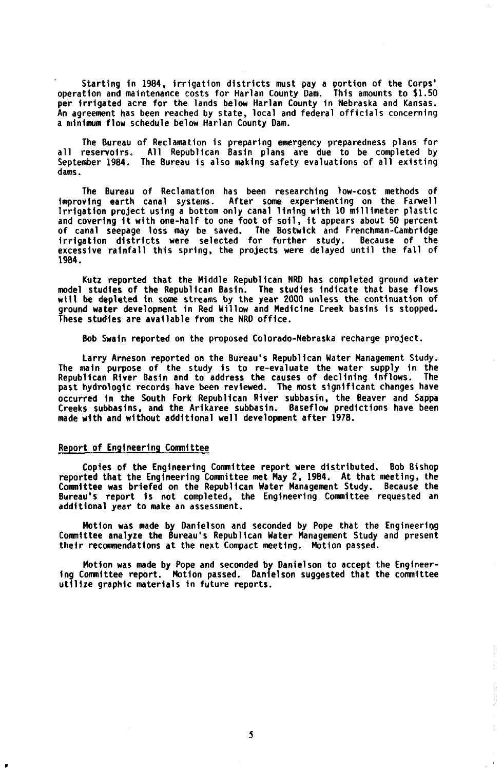Starting in 1984, irrigation districts must pay a portion of the Corps' operation and maintenance costs for Harlan County Dam. This amounts to \$1.50 per irrigated acre for the lands below Harlan County in Nebraska and Kansas. An agreement has been reached by state, local and federal officials concerning a mininum flow schedule below Harlan County Dam.

The Bureau of Reclamation is preparing emergency preparedness plans for all reservoirs. All Republican Basin plans are due to be completed by September 1984. The Bureau is also making safety evaluations of all existing dams.

The Bureau of Reclamation has been researching low-cost methods of improving earth canal systems. After some experimenting on the Farwell Irrigation project using a bottom only canal lining with 10 millimeter plastic<br>and covering it with one-half to one foot of soil, it appears about 50 percent<br>of canal seepage loss may be saved. The Bostwick and Frenchmanirrigation districts were selected for further study. Because of the excessive rainfall this spring, the projects were delayed until the fall of 1984.

Kutz reported that the Middle Republican NRD has completed ground water model studies of the Republican Basin. The studies indicate that base flows will be depleted in some streams by the year 2000 unless the continuation of ground water development in Red Willow and Medicine Creek basins is stopped. These studies are available from the NRD office.

Bob Swain reported on the proposed Colorado-Nebraska recharge project.

Larry Arneson reported on the Bureau's Republican Water Management Study. The main purpose of the study is to re-evaluate the water supply in the Republican River Basin and to address the causes of declining inflows. The past hydrologic records have been reviewed. The most significant changes have occurred in the South Fork Republican River subbasin, the Beaver and Sappa Creeks subbasins. and the Arikaree subbasin. Baseflow predictions have been made with and without additional well development after 1978.

#### Report of Engineering committee

Copies of the Engineering Committee report were distributed. Bob Bishop reported that the Engineering committee met May 2. 1984. At that meeting, the Committee was briefed on the Republican Water Management Study. Because the Bureau's report is not completed. the Engineering Committee requested an additional year to make an assessment.

Motion was made by Danielson and seconded by Pope that the Engineering Committee analyze the Bureau's Republican Water Management Study and present their recommendations at the next Compact meeting. Motion passed.

Motion was made by Pope and seconded by Danielson to accept the Engineering Committee report. Motion passed. Danielson suggested that the Committee utilize graphic materials in future reports.

ŧ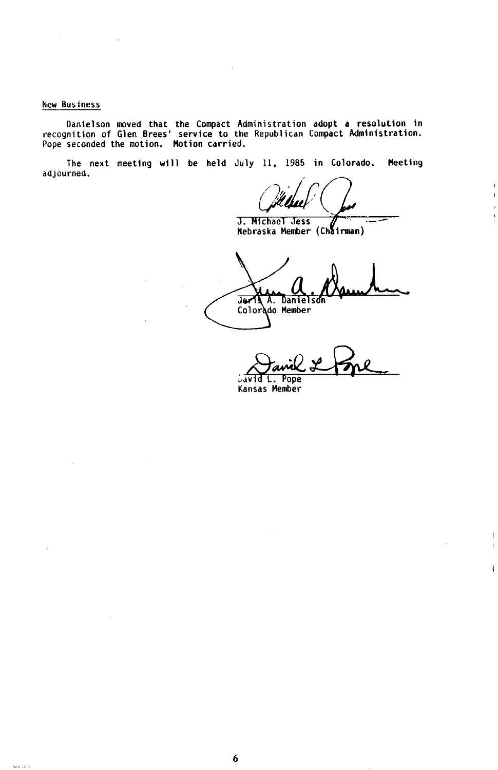#### **New Business**

 $\frac{1}{2} \left( \frac{1}{2} \left( \frac{1}{2} \right) \left( \frac{1}{2} \right) \right) \left( \frac{1}{2} \left( \frac{1}{2} \right) \right)$ 

Danielson moved that the Compact Administration adopt a resolution in<br>recognition of Glen Brees' service to the Republican Compact Administration.<br>Pope seconded the motion. Motion carried.

**The next meeting will be held July 11, 1985 in Colorado. Meeting adjourned.** 

**J. Michael Jess** 

 $\mathbf{r}$  $\mathbf{I}$ 

 $\dot{\mathsf{f}}$ ł  $\mathbf{I}$ 

**Nebraska Member (Chairman)** 

**Jeris A. Danielson Colorado Member** 

**David L. Pope** 

**Kansas Member**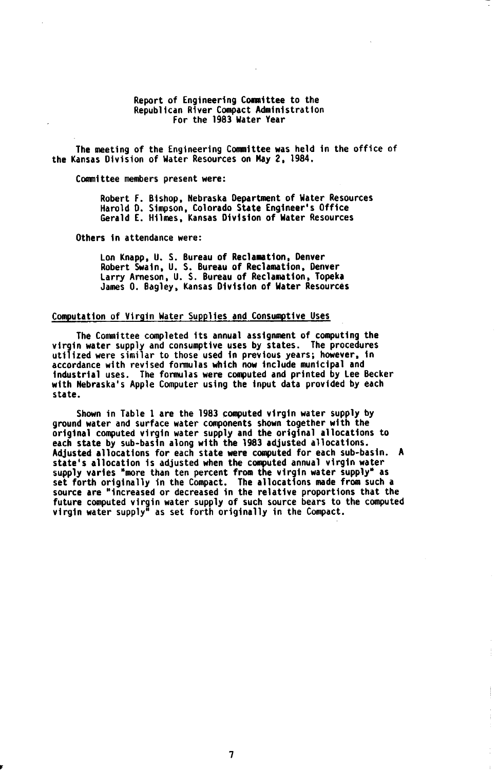#### Report of Engineering Committee to the Republican River Compact Administration For the 1983 Water Year

The meeting of the Engineering Committee was held in the office of the Kansas Division of Water Resources on May **2.** 1984.

Committee members present were:

Robert **F.** Bishop, Nebraska Department of Water Resources Harold D. Simpson, Colorado State Engineer's Office Gerald **E.** Hilmes. Kansas Division of Water Resources

Others in attendance were:

Lon Knapp. U. S. Bureau of Reclamation, Denver Robert Swain, **U. S.** Bureau of Reclamation, Denver Larry Arneson, U. **S.** Bureau of Reclamation. Topeka James O. Bagley, Kansas Division of Water Resources

#### Computation of Virgin Water Supplies and Consumptive Uses

virgin water supply and consumptive uses by states. utilized were similar to those used in previous years; however, in accordance with revised formulas which now include municipal and industrial uses. The formulas were computed and printed by Lee Becker with Nebraska's Apple Computer using the input data provided by each state. The Committee completed its annual assignment of computing the The procedures

ground water and surface water components shown together with the original computed virgin water supply and the original allocations to each state by sub-basin along with the 1983 adjusted allocations. Adjusted allocations for each state were computed for each sub-basin. A state's allocation is adjusted when the computed annual virgin water<br>supply varies "more than ten percent from the virgin water supply" as<br>set forth originally in the Compact. The allocations made from such a<br>source are "i future computed virgin water supply of such source bears to the computed virgin water supply'' as set forth originally in the Compact. Shown in Table 1 are the 1983 computed virgin water supply by

ÿ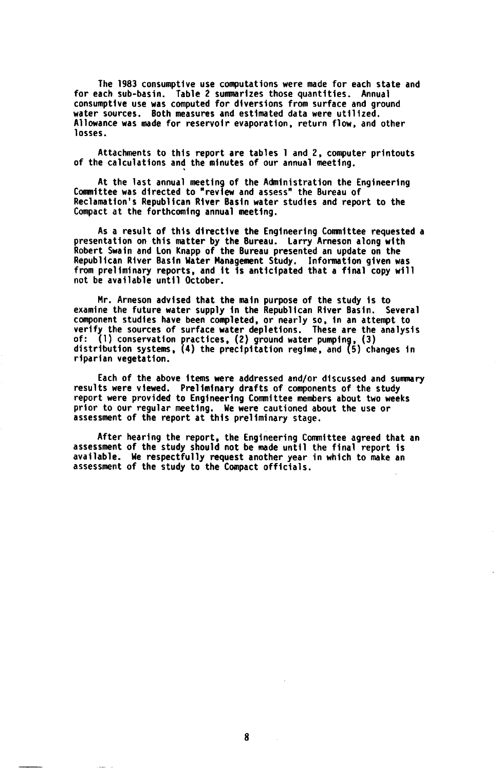The 1983 consumptive use computations were made for each state and for each sub-basin. Table 2 summarizes those quantities. Annual consumptive use was computed for diversions from surface and ground water sources. Both measures and estimated data were utilized. Allowance was made for reservoir evaporation, return flow, and other losses.

of the calculations and the minutes of our annual meeting. Attachments to this report are tables 1 and **2,** computer printouts

Committee was directed to "review and assess" the Bureau of Reclamation's Republican River Basin water studies and report to the Compact at the forthcoming annual meeting. At the last annual meeting of the Administration the Engineering

presentation on this matter by the Bureau. Robert Swain and Lon Knapp of the Bureau presented an update on the Republican River Basin Water Management Study. information given was from preliminary reports, and it is anticipated that a final copy will not be available until October. As a result of this directive the Engineering Committee requested a Larry Arneson along with

Mr. Arneson advised that the main purpose of the study is to examine the future water supply in the Republican River Basin. Several component studies have been completed, or nearly so. In an attempt to verify the sources of surface water depletions. These are the analysis<br>of: (l) conservation practices, (2) ground water pumping, (3)<br>distribution systems, (4) the precipitation regime, and (5) changes in riparian vegetation.

results were viewed. Preliminary drafts of components of the study report were provided to Engineering Cornittee members about two weeks prior to our regular meeting. We were cautioned about the use or assessment of the report at this preliminary stage. Each of the above items were addressed and/or discussed and summary

assessment of the study should not be made until the final report is After hearing the report, the Engineering Committee agreed that an available. We respectfully request another year in which to make an assessment of the study to the Compact officials.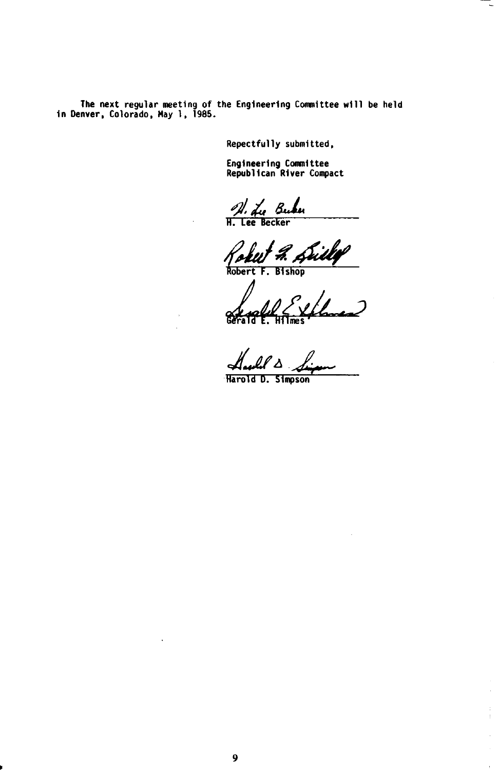**The next regular meeting of the Engineering Committee will be held in Denver, Colorado, May 1, 1985.** 

**Repectfully submitted.** 

**Engineering Committee Republican River Compact** 

A. <u>Lu Bubu</u>

Robert F. Drill**y**<br>Robert F. Bishop

*A*   $\overline{\mathbf{c}}$ **Gerald E. Hilmes** 

Harlel A

**Harold D. Simpson** 

 $\bar{\bar{z}}$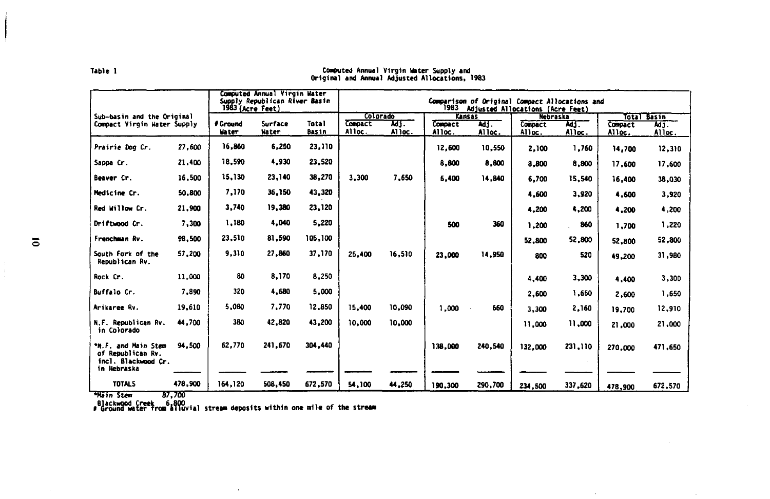|                                                                                | Computed Annual Virgin Water<br>Supply Republican River Basin<br>Comparison of Original Compact Allocations and<br>1983 Adjusted Allocations (Acre Feet)<br>1983 (Acre Feet)<br>Colorado |              |         |         |                |        |                          |         |                   |         |                   |               |
|--------------------------------------------------------------------------------|------------------------------------------------------------------------------------------------------------------------------------------------------------------------------------------|--------------|---------|---------|----------------|--------|--------------------------|---------|-------------------|---------|-------------------|---------------|
| Sub-basin and the Original<br>Compact Virgin Water Supply                      |                                                                                                                                                                                          | # Ground     | Surface | Total   | <b>Compact</b> | MJ.    | Kansas<br><b>Compact</b> | мj.     | Nebraska          | 743.    |                   | Total Basin   |
|                                                                                |                                                                                                                                                                                          | <b>Water</b> | Water   | Basin   | Alloc.         | Alloc. | Alloc.                   | Alloc.  | Compact<br>Alloc. | Alloc.  | Compact<br>Alloc. | ਯਤੰ<br>Alloc. |
| Prairie Dog Cr.                                                                | 27.600                                                                                                                                                                                   | 16,860       | 6.250   | 23,110  |                |        | 12,600                   | 10,550  | 2,100             | 1,760   | 14,700            | 12,310        |
| Sappa Cr.                                                                      | 21,400                                                                                                                                                                                   | 18,590       | 4,930   | 23,520  |                |        | 8,800                    | 8,800   | 8,800             | 8,800   | 17,600            | 17,600        |
| Beaver Cr.                                                                     | 16,500                                                                                                                                                                                   | 15,130       | 23,140  | 38,270  | 3,300          | 7,650  | 6.400                    | 14,840  | 6,700             | 15,540  | 16,400            | 38,030        |
| Medicine Cr.                                                                   | 50,800                                                                                                                                                                                   | 7,170        | 36,150  | 43,320  |                |        |                          |         | 4,600             | 3,920   | 4,600             | 3,920         |
| Red Willow Cr.                                                                 | 21,900                                                                                                                                                                                   | 3,740        | 19,380  | 23,120  |                |        |                          |         | 4,200             | 4.200   | 4,200             | 4,200         |
| Driftwood Cr.                                                                  | 7,300                                                                                                                                                                                    | 1,180        | 4.040   | 5,220   |                |        | 500                      | 360     | 1,200             | 860     | 1,700             | 1,220         |
| Frenchman Rv.                                                                  | 98.500                                                                                                                                                                                   | 23,510       | 81,590  | 105,100 |                |        |                          |         | 52,800            | 52,800  | 52,800            | 52,800        |
| South Fork of the<br>Republican Rv.                                            | 57,200                                                                                                                                                                                   | 9.310        | 27,860  | 37,170  | 25,400         | 16,510 | 23,000                   | 14,950  | 800               | 520     | 49,200            | 31,980        |
| Rock Cr.                                                                       | 11,000                                                                                                                                                                                   | 80           | 8,170   | 8,250   |                |        |                          |         | 4,400             | 3,300   | 4.400             | 3,300         |
| Buffalo Cr.                                                                    | 7,890                                                                                                                                                                                    | 320          | 4,680   | 5,000   |                |        |                          |         | 2,600             | 1,650   | 2.600             | 1,650         |
| Arikaree Rv.                                                                   | 19,610                                                                                                                                                                                   | 5.080        | 7,770   | 12,850  | 15,400         | 10.090 | 1.000                    | 660     | 3,300             | 2,160   | 19,700            | 12,910        |
| N.F. Republican Rv.<br>in Colorado                                             | 44,700                                                                                                                                                                                   | 380          | 42,820  | 43,200  | 10,000         | 10,000 |                          |         | 11,000            | 11,000  | 21,000            | 21,000        |
| *N.F. and Main Stem<br>of Republican Rv.<br>incl. Blackwood Cr.<br>in Nebraska | 94.500                                                                                                                                                                                   | 62.770       | 241.670 | 304,440 |                |        | 138,000                  | 240,540 | 132.000           | 231,110 | 270,000           | 471,650       |
| <b>TOTALS</b>                                                                  | 478,900                                                                                                                                                                                  | 164,120      | 508,450 | 672,570 | 54,100         | 44.250 | 190.300                  | 290,700 | 234,500           | 337,620 | 478,900           | 672.570       |

### Computed Annual Virgin Water Supply and<br>Original and Annual Adjusted Allocations, 1983

Table 1

"Hain Stem 87,700<br>Blackwood Creek 6,800<br># Ground water from alluvial stream deposits within one mile of the stream

 $\epsilon$ 

 $\frac{1}{2}$ 

I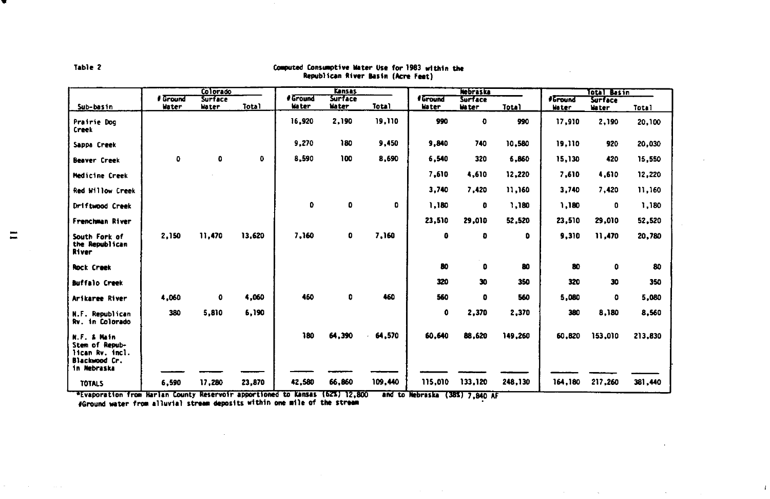|                                                                                  |              | Colorado |              |              | Kansas         |         | <b>Nebraska</b> |              |              | Total Basin                        |                |              |
|----------------------------------------------------------------------------------|--------------|----------|--------------|--------------|----------------|---------|-----------------|--------------|--------------|------------------------------------|----------------|--------------|
|                                                                                  | # Ground     | Surface  |              | # Ground     | <b>Surface</b> |         | # Ground        | Surface      |              | <b><i><i><u>Sround</u></i></i></b> | <b>Surface</b> |              |
| Sub-basin                                                                        | Water        | Water    | <b>Total</b> | <b>Mater</b> | <b>Nater</b>   | Total   | <b>Water</b>    | <b>Water</b> | <b>Total</b> | Water                              | Water          | <b>Total</b> |
| Prairie Dog<br>Creck                                                             |              |          |              | 16,920       | 2,190          | 19,110  | 990             | 0            | 990          | 17,910                             | 2,190          | 20,100       |
| Sappa Creek                                                                      |              |          |              | 9,270        | 180            | 9,450   | 9,840           | 740          | 10,580       | 19,110                             | 920            | 20,030       |
| <b>Beaver Creek</b>                                                              | $\mathbf{O}$ | 0        | 0            | 8,590        | 100            | 8,690   | 6,540           | 320          | 6,860        | 15,130                             | 420            | 15.550       |
| Medicine Creek                                                                   |              |          |              |              |                |         | 7,610           | 4,610        | 12,220       | 7.610                              | 4,610          | 12,220       |
| Red Willow Creek                                                                 |              |          |              |              |                |         | 3,740           | 7,420        | 11,160       | 3,740                              | 7.420          | 11.160       |
| Driftwood Creek                                                                  |              |          |              | 0            | $\bullet$      | o       | 1,180           | o            | 1,180        | 1,180                              | 0              | 1,180        |
| Frenchman River                                                                  |              |          |              |              |                |         | 23,510          | 29,010       | 52,520       | 23,510                             | 29,010         | 52,520       |
| South Fork of<br>the Republican<br>River                                         | 2,150        | 11,470   | 13.620       | 7,160        | 0              | 7,160   | ٥               | o            | ٥            | 9,310                              | 11,470         | 20,780       |
| <b>Rock Creek</b>                                                                |              |          |              |              |                |         | 80              | ٥            | 80           | 80                                 | ٥              | 80           |
| <b>Buffalo Creek</b>                                                             |              |          |              |              |                |         | 320             | 30           | 350          | 320                                | 30             | 350          |
| Arikaree River                                                                   | 4,060        | 0        | 4,060        | 460          | ٥              | 460     | 560             | ٥            | 560          | 5,080                              | ٥              | 5,080        |
| Republican<br>N.F.<br>Rv. in Colorado                                            | 380          | 5,810    | 6,190        |              |                |         | 0               | 2,370        | 2,370        | 380                                | 8,180          | 8,560        |
| N.F. & Main<br>Stem of Repub-<br>lican Rv. incl.<br>Blackwood Cr.<br>in Nebraska |              |          |              | 180          | 64.390         | 64,570  | 60,640          | 88,620       | 149,260      | 60.820                             | 153,010        | 213,830      |
| <b>TOTALS</b>                                                                    | 6.590        | 17,280   | 23,870       | 42.580       | 66.860         | 109,440 | 115,010         | 133,120      | 248,130      | 164,180                            | 217,260        | 381,440      |

 $\sim 10^{-1}$ 

## Computed Consumptive Water Use for 1983 within the<br>Republican River Basin (Acre Feet)

"Evaporation from Harlan County Reservoir apportioned to Kansas (62%) 12,800 – and to Nebraska (38%) 7,840 AF<br>- #Ground water from alluvial stream deposits within one mile of the stream

**11** 

Table 2